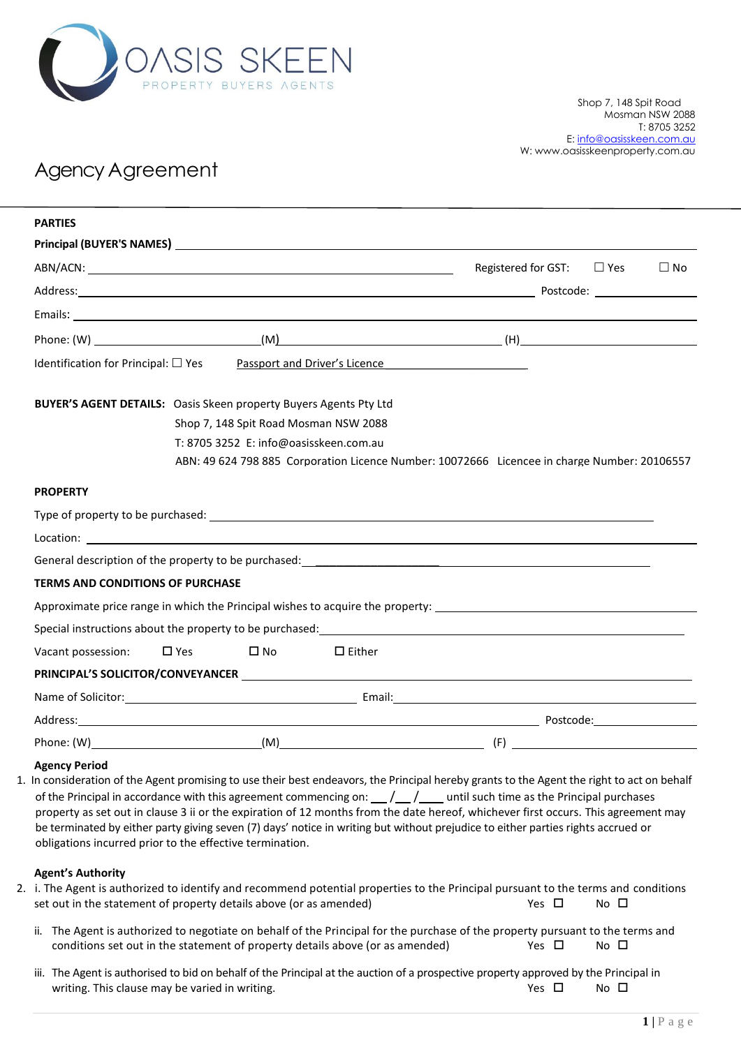

# Agency Agreement

| <b>PARTIES</b>                                                                                 |                                        |                                                                               |                                                                                                                                                                                                                                                                                                                                                                                                                                                                                                                                                                   |              |           |
|------------------------------------------------------------------------------------------------|----------------------------------------|-------------------------------------------------------------------------------|-------------------------------------------------------------------------------------------------------------------------------------------------------------------------------------------------------------------------------------------------------------------------------------------------------------------------------------------------------------------------------------------------------------------------------------------------------------------------------------------------------------------------------------------------------------------|--------------|-----------|
|                                                                                                |                                        |                                                                               |                                                                                                                                                                                                                                                                                                                                                                                                                                                                                                                                                                   |              |           |
|                                                                                                |                                        |                                                                               | Registered for GST: $\square$ Yes                                                                                                                                                                                                                                                                                                                                                                                                                                                                                                                                 |              | $\Box$ No |
|                                                                                                |                                        |                                                                               |                                                                                                                                                                                                                                                                                                                                                                                                                                                                                                                                                                   |              |           |
|                                                                                                |                                        |                                                                               |                                                                                                                                                                                                                                                                                                                                                                                                                                                                                                                                                                   |              |           |
|                                                                                                |                                        |                                                                               | Phone: $(W)$ (M) $(W)$ (H)                                                                                                                                                                                                                                                                                                                                                                                                                                                                                                                                        |              |           |
| Identification for Principal: $\square$ Yes                                                    |                                        | Passport and Driver's Licence                                                 | <u> 1990 - John Stein, amerikansk politiker (</u>                                                                                                                                                                                                                                                                                                                                                                                                                                                                                                                 |              |           |
| <b>BUYER'S AGENT DETAILS:</b> Oasis Skeen property Buyers Agents Pty Ltd                       |                                        |                                                                               |                                                                                                                                                                                                                                                                                                                                                                                                                                                                                                                                                                   |              |           |
|                                                                                                |                                        | Shop 7, 148 Spit Road Mosman NSW 2088                                         |                                                                                                                                                                                                                                                                                                                                                                                                                                                                                                                                                                   |              |           |
|                                                                                                | T: 8705 3252 E: info@oasisskeen.com.au |                                                                               |                                                                                                                                                                                                                                                                                                                                                                                                                                                                                                                                                                   |              |           |
|                                                                                                |                                        |                                                                               | ABN: 49 624 798 885 Corporation Licence Number: 10072666 Licencee in charge Number: 20106557                                                                                                                                                                                                                                                                                                                                                                                                                                                                      |              |           |
| <b>PROPERTY</b>                                                                                |                                        |                                                                               |                                                                                                                                                                                                                                                                                                                                                                                                                                                                                                                                                                   |              |           |
|                                                                                                |                                        |                                                                               |                                                                                                                                                                                                                                                                                                                                                                                                                                                                                                                                                                   |              |           |
|                                                                                                |                                        |                                                                               |                                                                                                                                                                                                                                                                                                                                                                                                                                                                                                                                                                   |              |           |
|                                                                                                |                                        |                                                                               |                                                                                                                                                                                                                                                                                                                                                                                                                                                                                                                                                                   |              |           |
| <b>TERMS AND CONDITIONS OF PURCHASE</b>                                                        |                                        |                                                                               |                                                                                                                                                                                                                                                                                                                                                                                                                                                                                                                                                                   |              |           |
|                                                                                                |                                        |                                                                               | Approximate price range in which the Principal wishes to acquire the property: Languary and the property of the state of the state of the state of the state of the state of the state of the state of the state of the state                                                                                                                                                                                                                                                                                                                                     |              |           |
|                                                                                                |                                        |                                                                               |                                                                                                                                                                                                                                                                                                                                                                                                                                                                                                                                                                   |              |           |
| Vacant possession:                                                                             | $\square$ Yes $\square$ No             | $\Box$ Either                                                                 |                                                                                                                                                                                                                                                                                                                                                                                                                                                                                                                                                                   |              |           |
|                                                                                                |                                        |                                                                               |                                                                                                                                                                                                                                                                                                                                                                                                                                                                                                                                                                   |              |           |
|                                                                                                |                                        |                                                                               |                                                                                                                                                                                                                                                                                                                                                                                                                                                                                                                                                                   |              |           |
|                                                                                                |                                        |                                                                               |                                                                                                                                                                                                                                                                                                                                                                                                                                                                                                                                                                   |              |           |
|                                                                                                |                                        |                                                                               |                                                                                                                                                                                                                                                                                                                                                                                                                                                                                                                                                                   |              |           |
| <b>Agency Period</b><br>obligations incurred prior to the effective termination.               |                                        |                                                                               | 1. In consideration of the Agent promising to use their best endeavors, the Principal hereby grants to the Agent the right to act on behalf<br>of the Principal in accordance with this agreement commencing on: $\frac{1}{2}$ $\frac{1}{2}$ until such time as the Principal purchases<br>property as set out in clause 3 ii or the expiration of 12 months from the date hereof, whichever first occurs. This agreement may<br>be terminated by either party giving seven (7) days' notice in writing but without prejudice to either parties rights accrued or |              |           |
| <b>Agent's Authority</b><br>set out in the statement of property details above (or as amended) |                                        |                                                                               | 2. i. The Agent is authorized to identify and recommend potential properties to the Principal pursuant to the terms and conditions<br>Yes $\Box$                                                                                                                                                                                                                                                                                                                                                                                                                  | No $\square$ |           |
| ii.                                                                                            |                                        | conditions set out in the statement of property details above (or as amended) | The Agent is authorized to negotiate on behalf of the Principal for the purchase of the property pursuant to the terms and<br>Yes $\Box$                                                                                                                                                                                                                                                                                                                                                                                                                          | No □         |           |
| writing. This clause may be varied in writing.                                                 |                                        |                                                                               | iii. The Agent is authorised to bid on behalf of the Principal at the auction of a prospective property approved by the Principal in<br>Yes $\Box$                                                                                                                                                                                                                                                                                                                                                                                                                | No □         |           |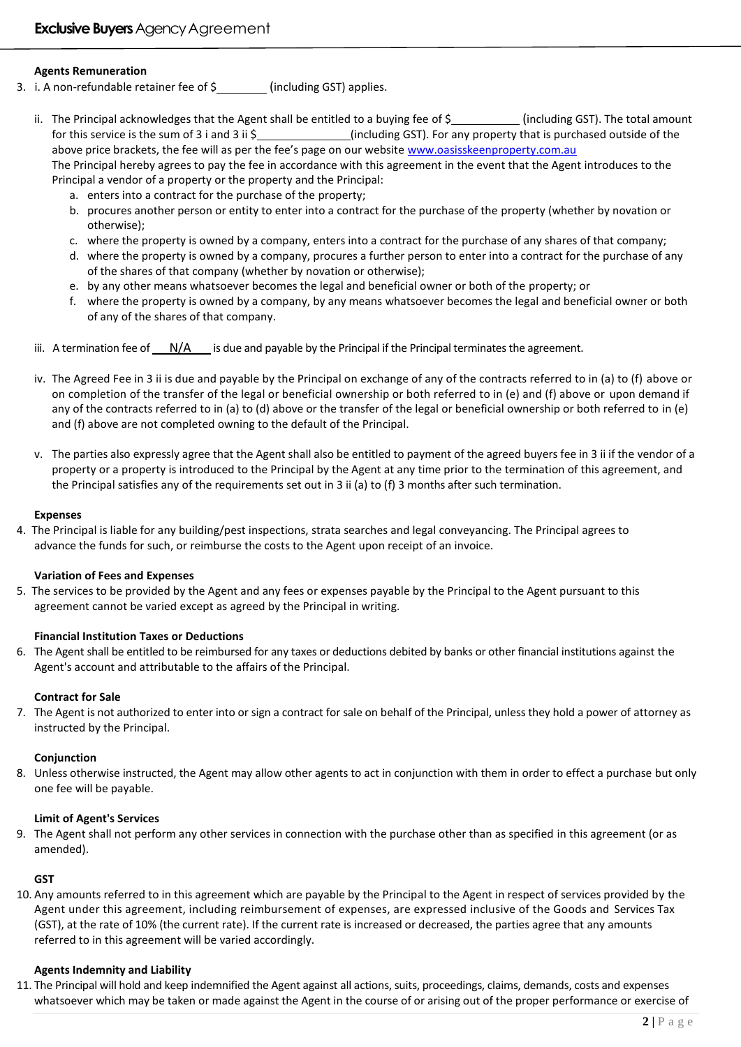### **Agents Remuneration**

- 3. i. A non-refundable retainer fee of  $\frac{1}{2}$  (including GST) applies.
	- ii. The Principal acknowledges that the Agent shall be entitled to a buying fee of  $\zeta$  [including GST]. The total amount for this service is the sum of 3 i and 3 ii \$ (including GST). For any property that is purchased outside of the above price brackets, the fee will as per the fee's page on our website [www.oasisskeenproperty.com.au](http://www.oasisskeenproperty.com.au/) The Principal hereby agrees to pay the fee in accordance with this agreement in the event that the Agent introduces to the Principal a vendor of a property or the property and the Principal:
		- a. enters into a contract for the purchase of the property;
		- b. procures another person or entity to enter into a contract for the purchase of the property (whether by novation or otherwise);
		- c. where the property is owned by a company, enters into a contract for the purchase of any shares of that company;
		- d. where the property is owned by a company, procures a further person to enter into a contract for the purchase of any of the shares of that company (whether by novation or otherwise);
		- e. by any other means whatsoever becomes the legal and beneficial owner or both of the property; or
		- f. where the property is owned by a company, by any means whatsoever becomes the legal and beneficial owner or both of any of the shares of that company.
	- iii. A termination fee of  $N/A$  is due and payable by the Principal if the Principal terminates the agreement.
	- iv. The Agreed Fee in 3 ii is due and payable by the Principal on exchange of any of the contracts referred to in (a) to (f) above or on completion of the transfer of the legal or beneficial ownership or both referred to in (e) and (f) above or upon demand if any of the contracts referred to in (a) to (d) above or the transfer of the legal or beneficial ownership or both referred to in (e) and (f) above are not completed owning to the default of the Principal.
	- v. The parties also expressly agree that the Agent shall also be entitled to payment of the agreed buyers fee in 3 ii if the vendor of a property or a property is introduced to the Principal by the Agent at any time prior to the termination of this agreement, and the Principal satisfies any of the requirements set out in 3 ii (a) to (f) 3 months after such termination.

#### **Expenses**

4. The Principal is liable for any building/pest inspections, strata searches and legal conveyancing. The Principal agrees to advance the funds for such, or reimburse the costs to the Agent upon receipt of an invoice.

#### **Variation of Fees and Expenses**

5. The services to be provided by the Agent and any fees or expenses payable by the Principal to the Agent pursuant to this agreement cannot be varied except as agreed by the Principal in writing.

#### **Financial Institution Taxes or Deductions**

6. The Agent shall be entitled to be reimbursed for any taxes or deductions debited by banks or other financial institutions against the Agent's account and attributable to the affairs of the Principal.

#### **Contract for Sale**

7. The Agent is not authorized to enter into or sign a contract for sale on behalf of the Principal, unless they hold a power of attorney as instructed by the Principal.

#### **Conjunction**

8. Unless otherwise instructed, the Agent may allow other agents to act in conjunction with them in order to effect a purchase but only one fee will be payable.

#### **Limit of Agent's Services**

9. The Agent shall not perform any other services in connection with the purchase other than as specified in this agreement (or as amended).

#### **GST**

10. Any amounts referred to in this agreement which are payable by the Principal to the Agent in respect of services provided by the Agent under this agreement, including reimbursement of expenses, are expressed inclusive of the Goods and Services Tax (GST), at the rate of 10% (the current rate). If the current rate is increased or decreased, the parties agree that any amounts referred to in this agreement will be varied accordingly.

#### **Agents Indemnity and Liability**

11. The Principal will hold and keep indemnified the Agent against all actions, suits, proceedings, claims, demands, costs and expenses whatsoever which may be taken or made against the Agent in the course of or arising out of the proper performance or exercise of